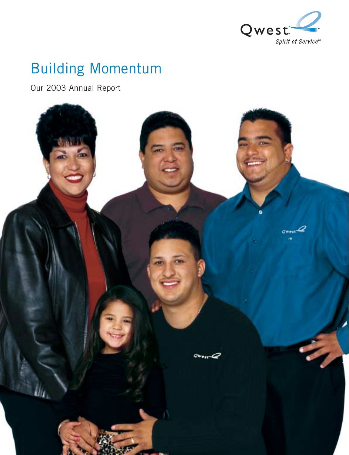

# Building Momentum

Our 2003 Annual Report

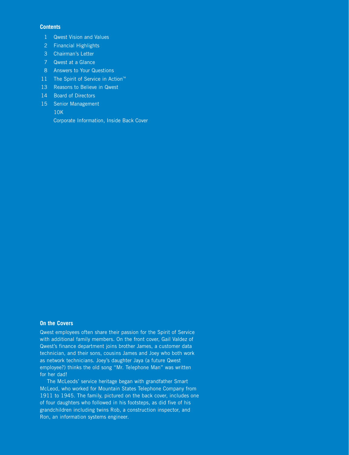#### **Contents**

- 1 Qwest Vision and Values
- 2 Financial Highlights
- 3 Chairman's Letter
- 7 Qwest at a Glance
- 8 Answers to Your Questions
- 11 The Spirit of Service in Action<sup>™</sup>
- 13 Reasons to Believe in Qwest
- 14 Board of Directors
- 15 Senior Management
	- 10K

Corporate Information, Inside Back Cover

#### **On the Covers**

Qwest employees often share their passion for the Spirit of Service with additional family members. On the front cover, Gail Valdez of Qwest's finance department joins brother James, a customer data technician, and their sons, cousins James and Joey who both work as network technicians. Joey's daughter Jaya (a future Qwest employee?) thinks the old song "Mr. Telephone Man" was written for her dad!

The McLeods' service heritage began with grandfather Smart McLeod, who worked for Mountain States Telephone Company from 1911 to 1945. The family, pictured on the back cover, includes one of four daughters who followed in his footsteps, as did five of his grandchildren including twins Rob, a construction inspector, and Ron, an information systems engineer.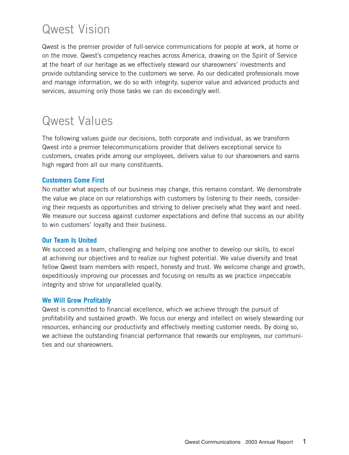# Qwest Vision

Qwest is the premier provider of full-service communications for people at work, at home or on the move. Qwest's competency reaches across America, drawing on the Spirit of Service at the heart of our heritage as we effectively steward our shareowners' investments and provide outstanding service to the customers we serve. As our dedicated professionals move and manage information, we do so with integrity, superior value and advanced products and services, assuming only those tasks we can do exceedingly well.

# Qwest Values

The following values guide our decisions, both corporate and individual, as we transform Qwest into a premier telecommunications provider that delivers exceptional service to customers, creates pride among our employees, delivers value to our shareowners and earns high regard from all our many constituents.

## **Customers Come First**

No matter what aspects of our business may change, this remains constant. We demonstrate the value we place on our relationships with customers by listening to their needs, considering their requests as opportunities and striving to deliver precisely what they want and need. We measure our success against customer expectations and define that success as our ability to win customers' loyalty and their business.

## **Our Team Is United**

We succeed as a team, challenging and helping one another to develop our skills, to excel at achieving our objectives and to realize our highest potential. We value diversity and treat fellow Qwest team members with respect, honesty and trust. We welcome change and growth, expeditiously improving our processes and focusing on results as we practice impeccable integrity and strive for unparalleled quality.

## **We Will Grow Profitably**

Qwest is committed to financial excellence, which we achieve through the pursuit of profitability and sustained growth. We focus our energy and intellect on wisely stewarding our resources, enhancing our productivity and effectively meeting customer needs. By doing so, we achieve the outstanding financial performance that rewards our employees, our communities and our shareowners.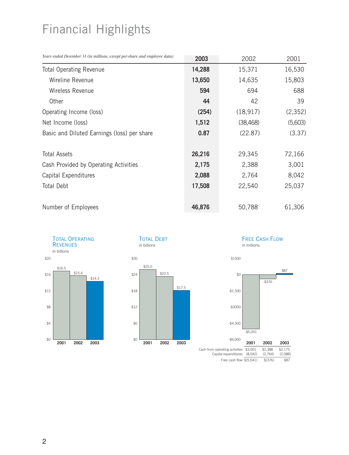# Financial Highlights

| Years ended December 31 (in millions, except per-share and employee data) | 2003   | 2002      | 2001     |
|---------------------------------------------------------------------------|--------|-----------|----------|
| <b>Total Operating Revenue</b>                                            | 14,288 | 15,371    | 16,530   |
| Wireline Revenue                                                          | 13,650 | 14,635    | 15,803   |
| Wireless Revenue                                                          | 594    | 694       | 688      |
| Other                                                                     | 44     | 42        | 39       |
| Operating Income (loss)                                                   | (254)  | (18, 917) | (2, 352) |
| Net Income (loss)                                                         | 1,512  | (38, 468) | (5,603)  |
| Basic and Diluted Earnings (loss) per share                               | 0.87   | (22.87)   | (3.37)   |
| <b>Total Assets</b>                                                       | 26,216 | 29,345    | 72,166   |
| Cash Provided by Operating Activities                                     | 2,175  | 2,388     | 3,001    |
| Capital Expenditures                                                      | 2,088  | 2,764     | 8,042    |
| Total Debt                                                                | 17,508 | 22,540    | 25,037   |
| Number of Employees                                                       | 46,876 | 50,788    | 61,306   |





#### FREE CASH FLOW in millions



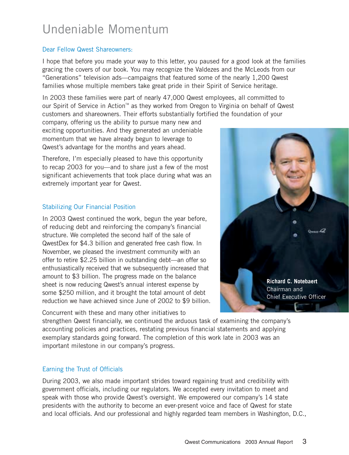# Undeniable Momentum

## Dear Fellow Qwest Shareowners:

I hope that before you made your way to this letter, you paused for a good look at the families gracing the covers of our book. You may recognize the Valdezes and the McLeods from our "Generations" television ads—campaigns that featured some of the nearly 1,200 Qwest families whose multiple members take great pride in their Spirit of Service heritage.

In 2003 these families were part of nearly 47,000 Qwest employees, all committed to our Spirit of Service in Action<sup> $M$ </sup> as they worked from Oregon to Virginia on behalf of Qwest customers and shareowners. Their efforts substantially fortified the foundation of your

company, offering us the ability to pursue many new and exciting opportunities. And they generated an undeniable momentum that we have already begun to leverage to Qwest's advantage for the months and years ahead.

Therefore, I'm especially pleased to have this opportunity to recap 2003 for you—and to share just a few of the most significant achievements that took place during what was an extremely important year for Qwest.

# Stabilizing Our Financial Position

In 2003 Qwest continued the work, begun the year before, of reducing debt and reinforcing the company's financial structure. We completed the second half of the sale of QwestDex for \$4.3 billion and generated free cash flow. In November, we pleased the investment community with an offer to retire \$2.25 billion in outstanding debt—an offer so enthusiastically received that we subsequently increased that amount to \$3 billion. The progress made on the balance sheet is now reducing Qwest's annual interest expense by some \$250 million, and it brought the total amount of debt reduction we have achieved since June of 2002 to \$9 billion.

Concurrent with these and many other initiatives to

 $Q_{\text{WHE}}$ **Richard C. Notebaert** Chairman and Chief Executive Officer

strengthen Qwest financially, we continued the arduous task of examining the company's accounting policies and practices, restating previous financial statements and applying exemplary standards going forward. The completion of this work late in 2003 was an important milestone in our company's progress.

# Earning the Trust of Officials

During 2003, we also made important strides toward regaining trust and credibility with government officials, including our regulators. We accepted every invitation to meet and speak with those who provide Qwest's oversight. We empowered our company's 14 state presidents with the authority to become an ever-present voice and face of Qwest for state and local officials. And our professional and highly regarded team members in Washington, D.C.,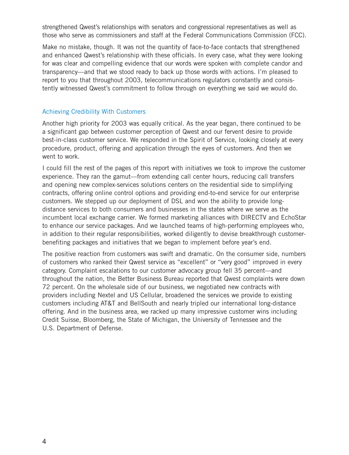strengthened Qwest's relationships with senators and congressional representatives as well as those who serve as commissioners and staff at the Federal Communications Commission (FCC).

Make no mistake, though. It was not the quantity of face-to-face contacts that strengthened and enhanced Qwest's relationship with these officials. In every case, what they were looking for was clear and compelling evidence that our words were spoken with complete candor and transparency—and that we stood ready to back up those words with actions. I'm pleased to report to you that throughout 2003, telecommunications regulators constantly and consistently witnessed Qwest's commitment to follow through on everything we said we would do.

## Achieving Credibility With Customers

Another high priority for 2003 was equally critical. As the year began, there continued to be a significant gap between customer perception of Qwest and our fervent desire to provide best-in-class customer service. We responded in the Spirit of Service, looking closely at every procedure, product, offering and application through the eyes of customers. And then we went to work.

I could fill the rest of the pages of this report with initiatives we took to improve the customer experience. They ran the gamut—from extending call center hours, reducing call transfers and opening new complex-services solutions centers on the residential side to simplifying contracts, offering online control options and providing end-to-end service for our enterprise customers. We stepped up our deployment of DSL and won the ability to provide longdistance services to both consumers and businesses in the states where we serve as the incumbent local exchange carrier. We formed marketing alliances with DIRECTV and EchoStar to enhance our service packages. And we launched teams of high-performing employees who, in addition to their regular responsibilities, worked diligently to devise breakthrough customerbenefiting packages and initiatives that we began to implement before year's end.

The positive reaction from customers was swift and dramatic. On the consumer side, numbers of customers who ranked their Qwest service as "excellent" or "very good" improved in every category. Complaint escalations to our customer advocacy group fell 35 percent—and throughout the nation, the Better Business Bureau reported that Qwest complaints were down 72 percent. On the wholesale side of our business, we negotiated new contracts with providers including Nextel and US Cellular, broadened the services we provide to existing customers including AT&T and BellSouth and nearly tripled our international long-distance offering. And in the business area, we racked up many impressive customer wins including Credit Suisse, Bloomberg, the State of Michigan, the University of Tennessee and the U.S. Department of Defense.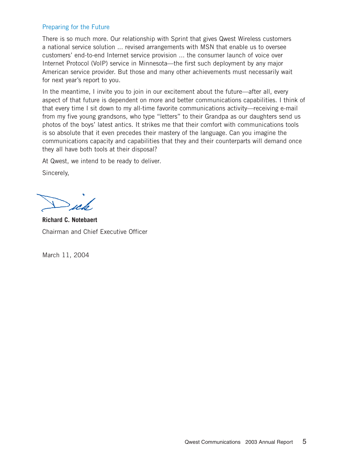# Preparing for the Future

There is so much more. Our relationship with Sprint that gives Qwest Wireless customers a national service solution ... revised arrangements with MSN that enable us to oversee customers' end-to-end Internet service provision ... the consumer launch of voice over Internet Protocol (VoIP) service in Minnesota—the first such deployment by any major American service provider. But those and many other achievements must necessarily wait for next year's report to you.

In the meantime, I invite you to join in our excitement about the future—after all, every aspect of that future is dependent on more and better communications capabilities. I think of that every time I sit down to my all-time favorite communications activity—receiving e-mail from my five young grandsons, who type "letters" to their Grandpa as our daughters send us photos of the boys' latest antics. It strikes me that their comfort with communications tools is so absolute that it even precedes their mastery of the language. Can you imagine the communications capacity and capabilities that they and their counterparts will demand once they all have both tools at their disposal?

At Qwest, we intend to be ready to deliver.

Sincerely,

 $\frac{1}{2}$ 

**Richard C. Notebaert** Chairman and Chief Executive Officer

March 11, 2004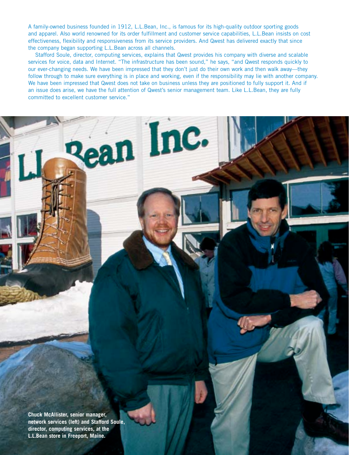A family-owned business founded in 1912, L.L.Bean, Inc., is famous for its high-quality outdoor sporting goods and apparel. Also world renowned for its order fulfillment and customer service capabilities, L.L.Bean insists on cost effectiveness, flexibility and responsiveness from its service providers. And Qwest has delivered exactly that since the company began supporting L.L.Bean across all channels.

Stafford Soule, director, computing services, explains that Qwest provides his company with diverse and scalable services for voice, data and Internet. "The infrastructure has been sound," he says, "and Qwest responds quickly to our ever-changing needs. We have been impressed that they don't just do their own work and then walk away—they follow through to make sure everything is in place and working, even if the responsibility may lie with another company. We have been impressed that Qwest does not take on business unless they are positioned to fully support it. And if an issue does arise, we have the full attention of Qwest's senior management team. Like L.L.Bean, they are fully committed to excellent customer service."

ean Inc.

**Chuck McAllister, senior manager, network services (left) and Stafford Soule, director, computing services, at the L.L.Bean store in Freeport, Maine.**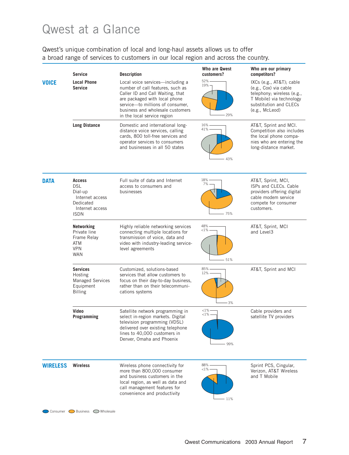# Qwest at a Glance

Qwest's unique combination of local and long-haul assets allows us to offer a broad range of services to customers in our local region and across the country.

|                 | <b>Service</b>                                                                                           | <b>Description</b>                                                                                                                                                                                                                               | Who are Qwest<br>customers?     | Who are our primary<br>competitors?                                                                                                                     |
|-----------------|----------------------------------------------------------------------------------------------------------|--------------------------------------------------------------------------------------------------------------------------------------------------------------------------------------------------------------------------------------------------|---------------------------------|---------------------------------------------------------------------------------------------------------------------------------------------------------|
| <b>VOICE</b>    | <b>Local Phone</b><br><b>Service</b>                                                                     | Local voice services-including a<br>number of call features, such as<br>Caller ID and Call Waiting, that<br>are packaged with local phone<br>service-to millions of consumer,<br>business and wholesale customers<br>in the local service region | 52%<br>19% -<br>29%             | IXCs (e.g., AT&T); cable<br>(e.g., Cox) via cable<br>telephony; wireless (e.g.,<br>T Mobile) via technology<br>substitution and CLECs<br>(e.g., McLeod) |
|                 | <b>Long Distance</b>                                                                                     | Domestic and international long-<br>distance voice services, calling<br>cards, 800 toll-free services and<br>operator services to consumers<br>and businesses in all 50 states                                                                   | 16%<br>41%.<br>43%              | AT&T, Sprint and MCI.<br>Competition also includes<br>the local phone compa-<br>nies who are entering the<br>long-distance market.                      |
| <b>DATA</b>     | <b>Access</b><br><b>DSL</b><br>Dial-up<br>Internet access<br>Dedicated<br>Internet access<br><b>ISDN</b> | Full suite of data and Internet<br>access to consumers and<br>businesses                                                                                                                                                                         | 18%<br>7%<br>$-75%$             | AT&T, Sprint, MCI,<br>ISPs and CLECs. Cable<br>providers offering digital<br>cable modem service<br>compete for consumer<br>customers.                  |
|                 | Networking<br>Private line<br>Frame Relay<br><b>ATM</b><br><b>VPN</b><br><b>WAN</b>                      | Highly reliable networking services<br>connecting multiple locations for<br>transmission of voice, data and<br>video with industry-leading service-<br>level agreements                                                                          | 48%<br>${<}1\%$<br>51%          | AT&T, Sprint, MCI<br>and Level <sub>3</sub>                                                                                                             |
|                 | <b>Services</b><br>Hosting<br><b>Managed Services</b><br>Equipment<br><b>Billing</b>                     | Customized, solutions-based<br>services that allow customers to<br>focus on their day-to-day business,<br>rather than on their telecommuni-<br>cations systems                                                                                   | 85%<br>12%<br>3%                | AT&T, Sprint and MCI                                                                                                                                    |
|                 | Video<br>Programming                                                                                     | Satellite network programming in<br>select in-region markets. Digital<br>television programming (VDSL)<br>delivered over existing telephone<br>lines to 40,000 customers in<br>Denver, Omaha and Phoenix                                         | $<1% -$<br>-1% -<br>99%         | Cable providers and<br>satellite TV providers                                                                                                           |
| <b>WIRELESS</b> | <b>Wireless</b>                                                                                          | Wireless phone connectivity for<br>more than 800,000 consumer<br>and business customers in the<br>local region, as well as data and<br>call management features for<br>convenience and productivity                                              | 88%<br>$<$ 1% $\cdot$<br>$-11%$ | Sprint PCS, Cingular,<br>Verizon, AT&T Wireless<br>and T Mobile                                                                                         |

Consumer Business OWholesale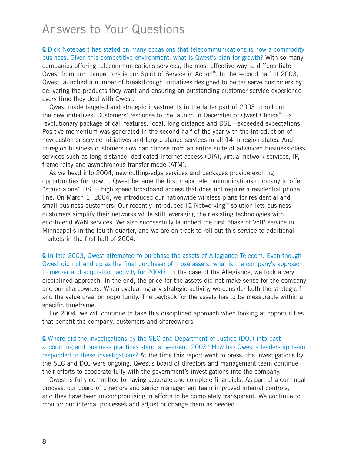# Answers to Your Questions

**Q** Dick Notebaert has stated on many occasions that telecommunications is now a commodity business. Given this competitive environment, what is Qwest's plan for growth? With so many companies offering telecommunications services, the most effective way to differentiate Qwest from our competitors is our Spirit of Service in Action™. In the second half of 2003, Qwest launched a number of breakthrough initiatives designed to better serve customers by delivering the products they want and ensuring an outstanding customer service experience every time they deal with Qwest.

Qwest made targeted and strategic investments in the latter part of 2003 to roll out the new initiatives. Customers' response to the launch in December of Qwest Choice<sup>™</sup>—a revolutionary package of call features, local, long distance and DSL—exceeded expectations. Positive momentum was generated in the second half of the year with the introduction of new customer service initiatives and long-distance services in all 14 in-region states. And in-region business customers now can choose from an entire suite of advanced business-class services such as long distance, dedicated Internet access (DIA), virtual network services, IP, frame relay and asynchronous transfer mode (ATM).

As we head into 2004, new cutting-edge services and packages provide exciting opportunities for growth. Qwest became the first major telecommunications company to offer "stand-alone" DSL—high speed broadband access that does not require a residential phone line. On March 1, 2004, we introduced our nationwide wireless plans for residential and small business customers. Our recently introduced  $iQ$  Networking<sup> $M$ </sup> solution lets business customers simplify their networks while still leveraging their existing technologies with end-to-end WAN services. We also successfully launched the first phase of VoIP service in Minneapolis in the fourth quarter, and we are on track to roll out this service to additional markets in the first half of 2004.

**Q** In late 2003, Qwest attempted to purchase the assets of Allegiance Telecom. Even though Qwest did not end up as the final purchaser of those assets, what is the company's approach to merger and acquisition activity for 2004? In the case of the Allegiance, we took a very disciplined approach. In the end, the price for the assets did not make sense for the company and our shareowners. When evaluating any strategic activity, we consider both the strategic fit and the value creation opportunity. The payback for the assets has to be measurable within a specific timeframe.

For 2004, we will continue to take this disciplined approach when looking at opportunities that benefit the company, customers and shareowners.

**Q** Where did the investigations by the SEC and Department of Justice (DOJ) into past accounting and business practices stand at year-end 2003? How has Qwest's leadership team responded to these investigations? At the time this report went to press, the investigations by the SEC and DOJ were ongoing. Qwest's board of directors and management team continue their efforts to cooperate fully with the government's investigations into the company.

Qwest is fully committed to having accurate and complete financials. As part of a continual process, our board of directors and senior management team improved internal controls, and they have been uncompromising in efforts to be completely transparent. We continue to monitor our internal processes and adjust or change them as needed.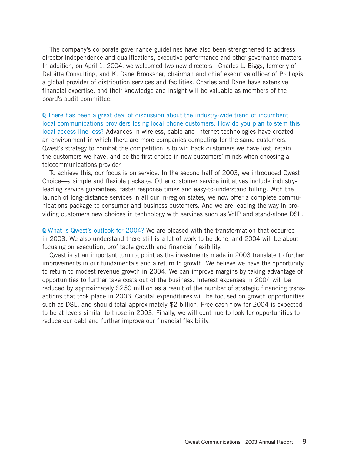The company's corporate governance guidelines have also been strengthened to address director independence and qualifications, executive performance and other governance matters. In addition, on April 1, 2004, we welcomed two new directors—Charles L. Biggs, formerly of Deloitte Consulting, and K. Dane Brooksher, chairman and chief executive officer of ProLogis, a global provider of distribution services and facilities. Charles and Dane have extensive financial expertise, and their knowledge and insight will be valuable as members of the board's audit committee.

**Q** There has been a great deal of discussion about the industry-wide trend of incumbent local communications providers losing local phone customers. How do you plan to stem this local access line loss? Advances in wireless, cable and Internet technologies have created an environment in which there are more companies competing for the same customers. Qwest's strategy to combat the competition is to win back customers we have lost, retain the customers we have, and be the first choice in new customers' minds when choosing a telecommunications provider.

To achieve this, our focus is on service. In the second half of 2003, we introduced Qwest Choice—a simple and flexible package. Other customer service initiatives include industryleading service guarantees, faster response times and easy-to-understand billing. With the launch of long-distance services in all our in-region states, we now offer a complete communications package to consumer and business customers. And we are leading the way in providing customers new choices in technology with services such as VoIP and stand-alone DSL.

**Q** What is Qwest's outlook for 2004? We are pleased with the transformation that occurred in 2003. We also understand there still is a lot of work to be done, and 2004 will be about focusing on execution, profitable growth and financial flexibility.

Qwest is at an important turning point as the investments made in 2003 translate to further improvements in our fundamentals and a return to growth. We believe we have the opportunity to return to modest revenue growth in 2004. We can improve margins by taking advantage of opportunities to further take costs out of the business. Interest expenses in 2004 will be reduced by approximately \$250 million as a result of the number of strategic financing transactions that took place in 2003. Capital expenditures will be focused on growth opportunities such as DSL, and should total approximately \$2 billion. Free cash flow for 2004 is expected to be at levels similar to those in 2003. Finally, we will continue to look for opportunities to reduce our debt and further improve our financial flexibility.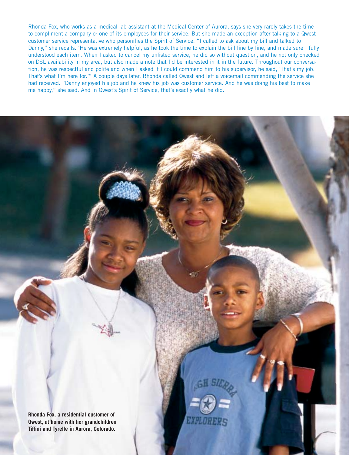Rhonda Fox, who works as a medical lab assistant at the Medical Center of Aurora, says she very rarely takes the time to compliment a company or one of its employees for their service. But she made an exception after talking to a Qwest customer service representative who personifies the Spirit of Service. "I called to ask about my bill and talked to Danny," she recalls. 'He was extremely helpful, as he took the time to explain the bill line by line, and made sure I fully understood each item. When I asked to cancel my unlisted service, he did so without question, and he not only checked on DSL availability in my area, but also made a note that I'd be interested in it in the future. Throughout our conversation, he was respectful and polite and when I asked if I could commend him to his supervisor, he said, 'That's my job. That's what I'm here for.'" A couple days later, Rhonda called Qwest and left a voicemail commending the service she had received. "Danny enjoyed his job and he knew his job was customer service. And he was doing his best to make me happy," she said. And in Qwest's Spirit of Service, that's exactly what he did.

**Rhonda Fox, a residential customer of Qwest, at home with her grandchildren Tiffini and Tyrelle in Aurora, Colorado.**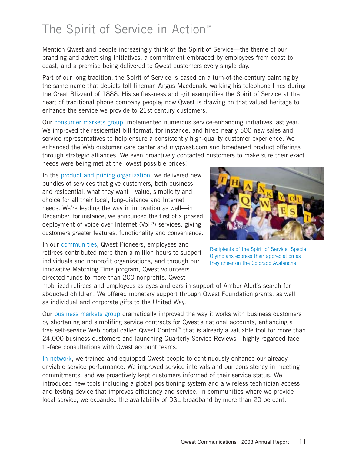# The Spirit of Service in Action<sup>™</sup>

Mention Qwest and people increasingly think of the Spirit of Service—the theme of our branding and advertising initiatives, a commitment embraced by employees from coast to coast, and a promise being delivered to Qwest customers every single day.

Part of our long tradition, the Spirit of Service is based on a turn-of-the-century painting by the same name that depicts toll lineman Angus Macdonald walking his telephone lines during the Great Blizzard of 1888. His selflessness and grit exemplifies the Spirit of Service at the heart of traditional phone company people; now Qwest is drawing on that valued heritage to enhance the service we provide to 21st century customers.

Our consumer markets group implemented numerous service-enhancing initiatives last year. We improved the residential bill format, for instance, and hired nearly 500 new sales and service representatives to help ensure a consistently high-quality customer experience. We enhanced the Web customer care center and myqwest.com and broadened product offerings through strategic alliances. We even proactively contacted customers to make sure their exact

needs were being met at the lowest possible prices!

In the product and pricing organization, we delivered new bundles of services that give customers, both business and residential, what they want—value, simplicity and choice for all their local, long-distance and Internet needs. We're leading the way in innovation as well—in December, for instance, we announced the first of a phased deployment of voice over Internet (VoIP) services, giving customers greater features, functionality and convenience.



In our communities, Qwest Pioneers, employees and retirees contributed more than a million hours to support individuals and nonprofit organizations, and through our innovative Matching Time program, Qwest volunteers directed funds to more than 200 nonprofits. Qwest

Recipients of the Spirit of Service, Special Olympians express their appreciation as they cheer on the Colorado Avalanche.

mobilized retirees and employees as eyes and ears in support of Amber Alert's search for abducted children. We offered monetary support through Qwest Foundation grants, as well as individual and corporate gifts to the United Way.

Our business markets group dramatically improved the way it works with business customers by shortening and simplifing service contracts for Qwest's national accounts, enhancing a free self-service Web portal called Qwest Control<sup> $M$ </sup> that is already a valuable tool for more than 24,000 business customers and launching Quarterly Service Reviews—highly regarded faceto-face consultations with Qwest account teams.

In network, we trained and equipped Qwest people to continuously enhance our already enviable service performance. We improved service intervals and our consistency in meeting commitments, and we proactively kept customers informed of their service status. We introduced new tools including a global positioning system and a wireless technician access and testing device that improves efficiency and service. In communities where we provide local service, we expanded the availability of DSL broadband by more than 20 percent.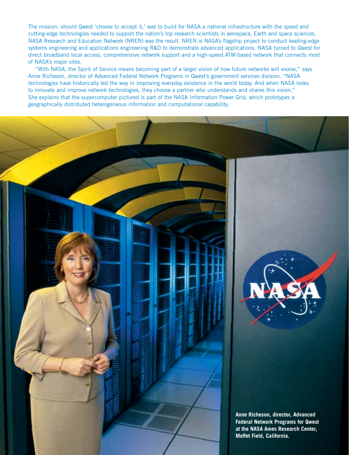The mission, should Qwest 'choose to accept it,' was to build for NASA a national infrastructure with the speed and cutting-edge technologies needed to support the nation's top research scientists in aerospace, Earth and space sciences. NASA Research and Education Network (NREN) was the result. NREN is NASA's flagship project to conduct leading-edge systems engineering and applications engineering R&D to demonstrate advanced applications. NASA turned to Qwest for direct broadband local access, comprehensive network support and a high-speed ATM-based network that connects most of NASA's major sites.

"With NASA, the Spirit of Service means becoming part of a larger vision of how future networks will evolve," says Anne Richeson, director of Advanced Federal Network Programs in Qwest's government services division. "NASA technologies have historically led the way in improving everyday existence in the world today. And when NASA looks to innovate and improve network technologies, they choose a partner who understands and shares this vision." She explains that the supercomputer pictured is part of the NASA Information Power Grid, which prototypes a geographically distributed heterogeneous information and computational capability.

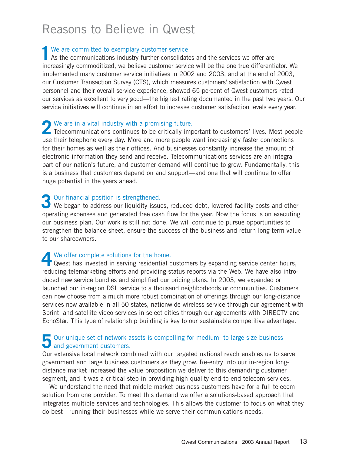# Reasons to Believe in Qwest

We are committed to exemplary customer service.<br>As the communications industry further consolidate As the communications industry further consolidates and the services we offer are increasingly commoditized, we believe customer service will be the one true differentiator. We implemented many customer service initiatives in 2002 and 2003, and at the end of 2003, our Customer Transaction Survey (CTS), which measures customers' satisfaction with Qwest personnel and their overall service experience, showed 65 percent of Qwest customers rated our services as excellent to very good—the highest rating documented in the past two years. Our service initiatives will continue in an effort to increase customer satisfaction levels every year.

# We are in a vital industry with a promising future.

We are in a vital industry with a promising future.<br>
Telecommunications continues to be critically important to customers' lives. Most people use their telephone every day. More and more people want increasingly faster connections for their homes as well as their offices. And businesses constantly increase the amount of electronic information they send and receive. Telecommunications services are an integral part of our nation's future, and customer demand will continue to grow. Fundamentally, this is a business that customers depend on and support—and one that will continue to offer huge potential in the years ahead.

Our financial position is strengthened.<br>
We began to address our liquidity issue We began to address our liquidity issues, reduced debt, lowered facility costs and other operating expenses and generated free cash flow for the year. Now the focus is on executing our business plan. Our work is still not done. We will continue to pursue opportunities to strengthen the balance sheet, ensure the success of the business and return long-term value to our shareowners.

# We offer complete solutions for the home.

We offer complete solutions for the home.<br>
Qwest has invested in serving residential customers by expanding service center hours, reducing telemarketing efforts and providing status reports via the Web. We have also introduced new service bundles and simplified our pricing plans. In 2003, we expanded or launched our in-region DSL service to a thousand neighborhoods or communities. Customers can now choose from a much more robust combination of offerings through our long-distance services now available in all 50 states, nationwide wireless service through our agreement with Sprint, and satellite video services in select cities through our agreements with DIRECTV and EchoStar. This type of relationship building is key to our sustainable competitive advantage.

# Our unique set of network assets is compelling for medium- to large-size business and government customers. and government customers.

Our extensive local network combined with our targeted national reach enables us to serve government and large business customers as they grow. Re-entry into our in-region longdistance market increased the value proposition we deliver to this demanding customer segment, and it was a critical step in providing high quality end-to-end telecom services.

We understand the need that middle market business customers have for a full telecom solution from one provider. To meet this demand we offer a solutions-based approach that integrates multiple services and technologies. This allows the customer to focus on what they do best—running their businesses while we serve their communications needs.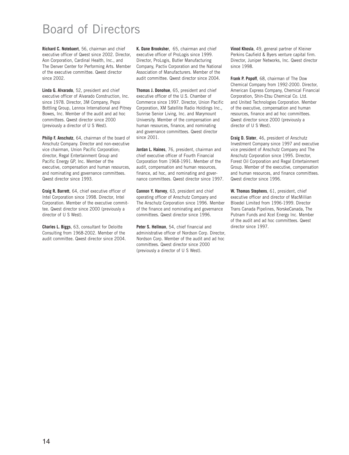# Board of Directors

**Richard C. Notebaert**, 56, chairman and chief executive officer of Qwest since 2002. Director, Aon Corporation, Cardinal Health, Inc., and The Denver Center for Performing Arts. Member of the executive committee. Qwest director since 2002.

**Linda G. Alvarado**, 52, president and chief executive officer of Alvarado Construction, Inc. since 1978. Director, 3M Company, Pepsi Bottling Group, Lennox International and Pitney Bowes, Inc. Member of the audit and ad hoc committees. Qwest director since 2000 (previously a director of U S West).

**Philip F. Anschutz**, 64, chairman of the board of Anschutz Company. Director and non-executive vice chairman, Union Pacific Corporation; director, Regal Entertainment Group and Pacific Energy GP, Inc. Member of the executive, compensation and human resources, and nominating and governance committees. Qwest director since 1993.

**Craig R. Barrett**, 64, chief executive officer of Intel Corporation since 1998. Director, Intel Corporation. Member of the executive committee. Qwest director since 2000 (previously a director of U S West).

**Charles L. Biggs**, 63, consultant for Deloitte Consulting from 1968-2002. Member of the audit committee. Qwest director since 2004. **K. Dane Brooksher**, 65, chairman and chief executive officer of ProLogis since 1999. Director, ProLogis, Butler Manufacturing Company, Pactiv Corporation and the National Association of Manufacturers. Member of the audit committee. Qwest director since 2004.

**Thomas J. Donohue**, 65, president and chief executive officer of the U.S. Chamber of Commerce since 1997. Director, Union Pacific Corporation, XM Satellite Radio Holdings Inc., Sunrise Senior Living, Inc. and Marymount University. Member of the compensation and human resources, finance, and nominating and governance committees. Qwest director since 2001.

**Jordan L. Haines**, 76, president, chairman and chief executive officer of Fourth Financial Corporation from 1968-1991. Member of the audit, compensation and human resources, finance, ad hoc, and nominating and governance committees. Qwest director since 1997.

**Cannon Y. Harvey**, 63, president and chief operating officer of Anschutz Company and The Anschutz Corporation since 1996. Member of the finance and nominating and governance committees. Qwest director since 1996.

**Peter S. Hellman**, 54, chief financial and administrative officer of Nordson Corp. Director, Nordson Corp. Member of the audit and ad hoc committees. Qwest director since 2000 (previously a director of U S West).

**Vinod Khosla**, 49, general partner of Kleiner Perkins Caufield & Byers venture capital firm. Director, Juniper Networks, Inc. Qwest director since 1998.

**Frank P. Popoff**, 68, chairman of The Dow Chemical Company from 1992-2000. Director, American Express Company, Chemical Financial Corporation, Shin-Etsu Chemical Co. Ltd. and United Technologies Corporation. Member of the executive, compensation and human resources, finance and ad hoc committees. Qwest director since 2000 (previously a director of U S West).

**Craig D. Slater**, 46, president of Anschutz Investment Company since 1997 and executive vice president of Anschutz Company and The Anschutz Corporation since 1995. Director, Forest Oil Corporation and Regal Entertainment Group. Member of the executive, compensation and human resources, and finance committees. Qwest director since 1996.

**W. Thomas Stephens**, 61, president, chief executive officer and director of MacMillian Bloedel Limited from 1996-1999. Director Trans Canada Pipelines, NorskeCanada, The Putnam Funds and Xcel Energy Inc. Member of the audit and ad hoc committees. Qwest director since 1997.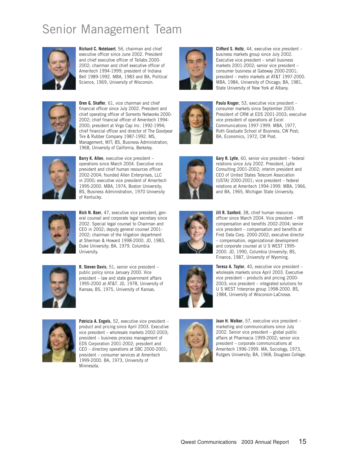# Senior Management Team



**Richard C. Notebaert**, 56, chairman and chief executive officer since June 2002. President and chief executive officer of Tellabs 2000- 2002; chairman and chief executive officer of Ameritech 1994-1999; president of Indiana Bell 1989-1992. MBA, 1983 and BA, Political Science, 1969, University of Wisconsin.



**Oren G. Shaffer**, 61, vice chairman and chief financial officer since July 2002. President and chief operating officer of Sorrento Networks 2000- 2002; chief financial officer of Ameritech 1994- 2000; president at Virgo Cap Inc. 1992-1994; chief financial officer and director of The Goodyear Tire & Rubber Company 1987-1992. MS, Management, MIT; BS, Business Administration, 1968, University of California, Berkeley.



**Barry K. Allen**, executive vice president – operations since March 2004. Executive vice president and chief human resources officer 2002-2004; founded Allen Enterprises, LLC in 2000; executive vice president of Ameritech 1995-2000. MBA, 1974, Boston University; BS, Business Administration, 1970 University of Kentucky.



**Rich N. Baer**, 47, executive vice president, general counsel and corporate legal secretary since 2002. Special legal counsel to Chairman and CEO in 2002; deputy general counsel 2001- 2002; chairman of the litigation department at Sherman & Howard 1998-2000. JD, 1983, Duke University; BA, 1979, Columbia University.



**R. Steven Davis**, 51, senior vice president – public policy since January 2000. Vice president – law and state government affairs 1995-2000 at AT&T. JD, 1978, University of Kansas; BS, 1975, University of Kansas.



**Patricia A. Engels**, 52, executive vice president – product and pricing since April 2003. Executive vice president – wholesale markets 2002-2003; president – business process management of EDS Corporation 2001-2002; president and CEO – directory operations at SBC 2000-2001; president – consumer services at Ameritech 1999-2000. BA, 1973, University of Minnesota.



**Clifford S. Holtz**, 44, executive vice president – business markets group since July 2002. Executive vice president – small business markets 2001-2002; senior vice president – consumer business at Gateway 2000-2001; president – metro markets at AT&T 1997-2000. MBA, 1984, University of Chicago; BA, 1981, State University of New York at Albany.



**Paula Kruger**, 53, executive vice president – consumer markets since September 2003. President of CRM at EDS 2001-2003; executive vice president of operations at Excel Communications 1997-1999. MBA, 1977, Roth Graduate School of Business, CW Post; BA, Economics, 1972, CW Post.



**Gary R. Lytle**, 60, senior vice president – federal relations since July 2002. President, Lytle Consulting 2001-2002; interim president and CEO of United States Telecom Association (USTA) 2000-2001; vice president – federal relations at Ameritech 1994-1999. MBA, 1966, and BA, 1965, Michigan State University.



**Jill R. Sanford**, 38, chief human resources officer since March 2004. Vice president – HR compensation and benefits 2002-2004; senior vice president – compensation and benefits at First Data Corp. 2000-2002; executive director – compensation, organizational development and corporate counsel at U S WEST 1995- 2000. JD, 1990, Columbia University; BS, Finance, 1987, University of Wyoming.







**Joan H. Walker**, 57, executive vice president – marketing and communications since July 2002. Senior vice president – global public affairs at Pharmacia 1999-2002; senior vice president – corporate communications at Ameritech 1996-1999. MA, Sociology, 1973, Rutgers University; BA, 1968, Douglass College.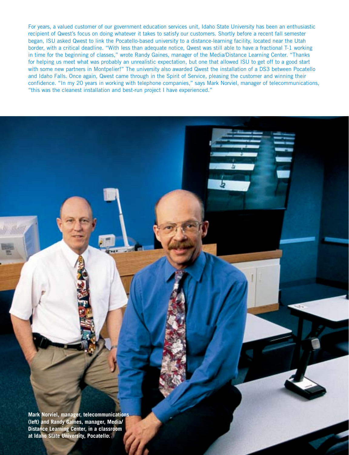For years, a valued customer of our government education services unit, Idaho State University has been an enthusiastic recipient of Qwest's focus on doing whatever it takes to satisfy our customers. Shortly before a recent fall semester began, ISU asked Qwest to link the Pocatello-based university to a distance-learning facility, located near the Utah border, with a critical deadline. "With less than adequate notice, Qwest was still able to have a fractional T-1 working in time for the beginning of classes," wrote Randy Gaines, manager of the Media/Distance Learning Center. "Thanks for helping us meet what was probably an unrealistic expectation, but one that allowed ISU to get off to a good start with some new partners in Montpelier!" The university also awarded Qwest the installation of a DS3 between Pocatello and Idaho Falls. Once again, Qwest came through in the Spirit of Service, pleasing the customer and winning their confidence. "In my 20 years in working with telephone companies," says Mark Norviel, manager of telecommunications, "this was the cleanest installation and best-run project I have experienced."

**Mark Norviel, manager, telecommunications (left) and Randy Gaines, manager, Media/ Distance Learning Center, in a classroom at Idaho State University, Pocatello.**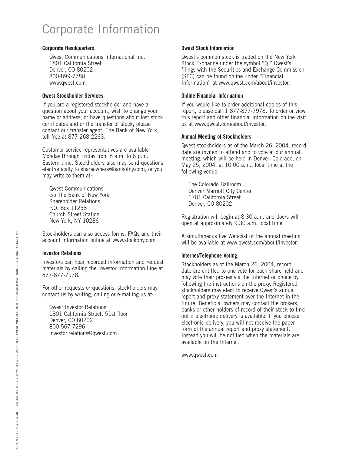# Corporate Information

#### **Corporate Headquarters**

Qwest Communications International Inc. 1801 California Street Denver, CO 80202 800-899-7780 www.qwest.com

#### **Qwest Stockholder Services**

If you are a registered stockholder and have a question about your account, wish to change your name or address, or have questions about lost stock certificates and or the transfer of stock, please contact our transfer agent, The Bank of New York, toll free at 877-268-2263.

Customer service representatives are available Monday through Friday from 8 a.m. to 6 p.m. Eastern time. Stockholders also may send questions electronically to shareowners@bankofny.com, or you may write to them at:

Qwest Communications c/o The Bank of New York Shareholder Relations P.O. Box 11258 Church Street Station New York, NY 10286

Stockholders can also access forms, FAQs and their account information online at www.stockbny.com

#### **Investor Relations**

Investors can hear recorded information and request materials by calling the Investor Information Line at 877-877-7978.

For other requests or questions, stockholders may contact us by writing, calling or e-mailing us at:

Qwest Investor Relations 1801 California Street, 51st floor Denver, CO 80202 800 567-7296 investor.relations@qwest.com

#### **Qwest Stock Information**

Qwest's common stock is traded on the New York Stock Exchange under the symbol ''Q.'' Qwest's filings with the Securities and Exchange Commission (SEC) can be found online under ''Financial Information'' at www.qwest.com/about/investor.

#### **Online Financial Information**

If you would like to order additional copies of this report, please call 1 877-877-7978. To order or view this report and other financial information online visit us at www.qwest.com/about/investor.

#### **Annual Meeting of Stockholders**

Qwest stockholders as of the March 26, 2004, record date are invited to attend and to vote at our annual meeting, which will be held in Denver, Colorado, on May 25, 2004, at 10:00 a.m., local time at the following venue:

The Colorado Ballroom Denver Marriott City Center 1701 California Street Denver, CO 80202

Registration will begin at 8:30 a.m. and doors will open at approximately 9:30 a.m. local time.

A simultaneous live Webcast of the annual meeting will be available at www.qwest.com/about/investor.

#### **Internet/Telephone Voting**

Stockholders as of the March 26, 2004, record date are entitled to one vote for each share held and may vote their proxies via the Internet or phone by following the instructions on the proxy. Registered stockholders may elect to receive Qwest's annual report and proxy statement over the Internet in the future. Beneficial owners may contact the brokers, banks or other holders of record of their stock to find out if electronic delivery is available. If you choose electronic delivery, you will not receive the paper form of the annual report and proxy statement. Instead you will be notified when the materials are available on the Internet.

www.qwest.com